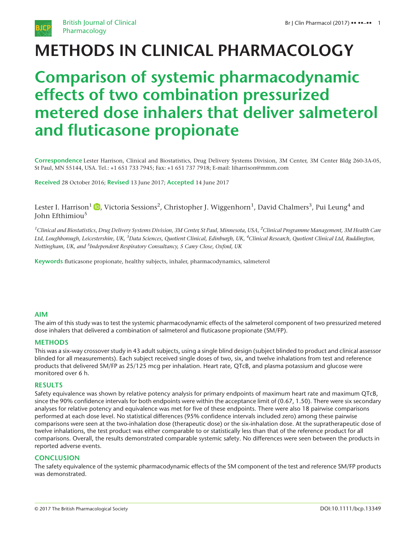

# METHODS IN CLINICAL PHARMACOLOGY

# Comparison of systemic pharmacodynamic effects of two combination pressurized metered dose inhalers that deliver salmeterol and fluticasone propionate

Correspondence Lester Harrison, Clinical and Biostatistics, Drug Delivery Systems Division, 3M Center, 3M Center Bldg 260-3A-05, St Paul, MN 55144, USA. Tel.: +1 651 733 7945; Fax: +1 651 737 7918; E-mail: liharrison@mmm.com

Received 28 October 2016; Revised 13 June 2017; Accepted 14 June 2017

Lester I. Harrison $^1$   $\textcolor{blue}{\bullet}$ , Victoria Sessions $^2$ , Christopher J. Wiggenhorn $^1$ , David Chalmers $^3$ , Pui Leung $^4$  and John Efthimiou<sup>5</sup>

<sup>1</sup>Clinical and Biostatistics, Drug Delivery Systems Division, 3M Center, St Paul, Minnesota, USA, <sup>2</sup>Clinical Programme Management, 3M Health Care Ltd, Loughborough, Leicestershire, UK, <sup>3</sup>Data Sciences, Quotient Clinical, Edinburgh, UK, <sup>4</sup>Clinical Research, Quotient Clinical Ltd, Ruddington, Nottingham, UK, and <sup>5</sup>Independent Respiratory Consultancy, 5 Carey Close, Oxford, UK

Keywords fluticasone propionate, healthy subjects, inhaler, pharmacodynamics, salmeterol

### AIM

The aim of this study was to test the systemic pharmacodynamic effects of the salmeterol component of two pressurized metered dose inhalers that delivered a combination of salmeterol and fluticasone propionate (SM/FP).

#### **METHODS**

This was a six-way crossover study in 43 adult subjects, using a single blind design (subject blinded to product and clinical assessor blinded for all measurements). Each subject received single doses of two, six, and twelve inhalations from test and reference products that delivered SM/FP as 25/125 mcg per inhalation. Heart rate, QTcB, and plasma potassium and glucose were monitored over 6 h.

#### RESULTS

Safety equivalence was shown by relative potency analysis for primary endpoints of maximum heart rate and maximum QTcB, since the 90% confidence intervals for both endpoints were within the acceptance limit of (0.67, 1.50). There were six secondary analyses for relative potency and equivalence was met for five of these endpoints. There were also 18 pairwise comparisons performed at each dose level. No statistical differences (95% confidence intervals included zero) among these pairwise comparisons were seen at the two-inhalation dose (therapeutic dose) or the six-inhalation dose. At the supratherapeutic dose of twelve inhalations, the test product was either comparable to or statistically less than that of the reference product for all comparisons. Overall, the results demonstrated comparable systemic safety. No differences were seen between the products in reported adverse events.

#### **CONCLUSION**

The safety equivalence of the systemic pharmacodynamic effects of the SM component of the test and reference SM/FP products was demonstrated.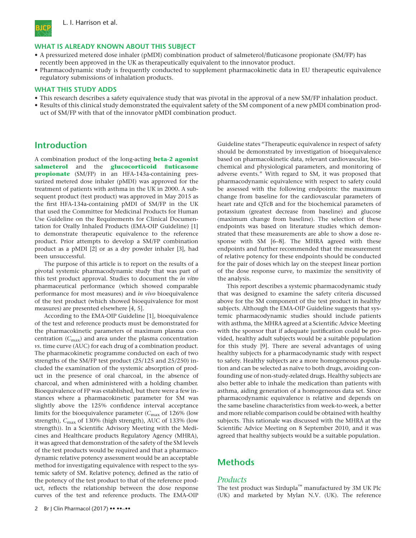

#### WHAT IS ALREADY KNOWN ABOUT THIS SUBJECT

- A pressurized metered dose inhaler (pMDI) combination product of salmeterol/fluticasone propionate (SM/FP) has recently been approved in the UK as therapeutically equivalent to the innovator product.
- Pharmacodynamic study is frequently conducted to supplement pharmacokinetic data in EU therapeutic equivalence regulatory submissions of inhalation products.

#### WHAT THIS STUDY ADDS

- This research describes a safety equivalence study that was pivotal in the approval of a new SM/FP inhalation product.
- Results of this clinical study demonstrated the equivalent safety of the SM component of a new pMDI combination product of SM/FP with that of the innovator pMDI combination product.

## Introduction

A combination product of the long-acting **beta-2 agonist** salmeterol and the glucocorticoid fluticasone **propionate** (SM/FP) in an HFA-143a-containing pressurized metered dose inhaler (pMDI) was approved for the treatment of patients with asthma in the UK in 2000. A subsequent product (test product) was approved in May 2015 as the first HFA-134a-containing pMDI of SM/FP in the UK that used the Committee for Medicinal Products for Human Use Guideline on the Requirements for Clinical Documentation for Orally Inhaled Products (EMA-OIP Guideline) [1] to demonstrate therapeutic equivalence to the reference product. Prior attempts to develop a SM/FP combination product as a pMDI [2] or as a dry powder inhaler [3], had been unsuccessful.

The purpose of this article is to report on the results of a pivotal systemic pharmacodynamic study that was part of this test product approval. Studies to document the in vitro pharmaceutical performance (which showed comparable performance for most measures) and in vivo bioequivalence of the test product (which showed bioequivalence for most measures) are presented elsewhere [4, 5].

According to the EMA-OIP Guideline [1], bioequivalence of the test and reference products must be demonstrated for the pharmacokinetic parameters of maximum plasma concentration  $(C_{\text{max}})$  and area under the plasma concentration vs. time curve (AUC) for each drug of a combination product. The pharmacokinetic programme conducted on each of two strengths of the SM/FP test product (25/125 and 25/250) included the examination of the systemic absorption of product in the presence of oral charcoal, in the absence of charcoal, and when administered with a holding chamber. Bioequivalence of FP was established, but there were a few instances where a pharmacokinetic parameter for SM was slightly above the 125% confidence interval acceptance limits for the bioequivalence parameter ( $C_{\text{max}}$  of 126% (low strength),  $C_{\text{max}}$  of 130% (high strength), AUC of 133% (low strength)). In a Scientific Advisory Meeting with the Medicines and Healthcare products Regulatory Agency (MHRA), it was agreed that demonstration of the safety of the SM levels of the test products would be required and that a pharmacodynamic relative potency assessment would be an acceptable method for investigating equivalence with respect to the systemic safety of SM. Relative potency, defined as the ratio of the potency of the test product to that of the reference product, reflects the relationship between the dose response curves of the test and reference products. The EMA-OIP Guideline states "Therapeutic equivalence in respect of safety should be demonstrated by investigation of bioequivalence based on pharmacokinetic data, relevant cardiovascular, biochemical and physiological parameters, and monitoring of adverse events." With regard to SM, it was proposed that pharmacodynamic equivalence with respect to safety could be assessed with the following endpoints: the maximum change from baseline for the cardiovascular parameters of heart rate and QTcB and for the biochemical parameters of potassium (greatest decrease from baseline) and glucose (maximum change from baseline). The selection of these endpoints was based on literature studies which demonstrated that these measurements are able to show a dose response with SM [6–8]. The MHRA agreed with these endpoints and further recommended that the measurement of relative potency for these endpoints should be conducted for the pair of doses which lay on the steepest linear portion of the dose response curve, to maximize the sensitivity of the analysis.

This report describes a systemic pharmacodynamic study that was designed to examine the safety criteria discussed above for the SM component of the test product in healthy subjects. Although the EMA-OIP Guideline suggests that systemic pharmacodynamic studies should include patients with asthma, the MHRA agreed at a Scientific Advice Meeting with the sponsor that if adequate justification could be provided, healthy adult subjects would be a suitable population for this study [9]. There are several advantages of using healthy subjects for a pharmacodynamic study with respect to safety. Healthy subjects are a more homogeneous population and can be selected as naïve to both drugs, avoiding confounding use of non-study-related drugs. Healthy subjects are also better able to inhale the medication than patients with asthma, aiding generation of a homogeneous data set. Since pharmacodynamic equivalence is relative and depends on the same baseline characteristics from week-to-week, a better and more reliable comparison could be obtained with healthy subjects. This rationale was discussed with the MHRA at the Scientific Advice Meeting on 8 September 2010, and it was agreed that healthy subjects would be a suitable population.

## **Methods**

#### **Products**

The test product was Sirdupla™ manufactured by 3M UK Plc (UK) and marketed by Mylan N.V. (UK). The reference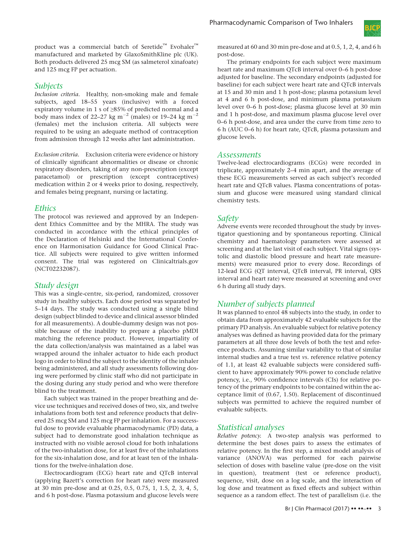## Subjects

Inclusion criteria. Healthy, non-smoking male and female subjects, aged 18–55 years (inclusive) with a forced expiratory volume in 1 s of ≥85% of predicted normal and a body mass index of 22–27 kg m<sup>-2</sup> (males) or 19–24 kg m<sup>-2</sup> (females) met the inclusion criteria. All subjects were required to be using an adequate method of contraception from admission through 12 weeks after last administration.

Exclusion criteria. Exclusion criteria were evidence or history of clinically significant abnormalities or disease or chronic respiratory disorders, taking of any non-prescription (except paracetamol) or prescription (except contraceptives) medication within 2 or 4 weeks prior to dosing, respectively, and females being pregnant, nursing or lactating.

## **Ethics**

The protocol was reviewed and approved by an Independent Ethics Committee and by the MHRA. The study was conducted in accordance with the ethical principles of the Declaration of Helsinki and the International Conference on Harmonisation Guidance for Good Clinical Practice. All subjects were required to give written informed consent. The trial was registered on Clinicaltrials.gov (NCT02232087).

## Study design

This was a single-centre, six-period, randomized, crossover study in healthy subjects. Each dose period was separated by 5–14 days. The study was conducted using a single blind design (subject blinded to device and clinical assessor blinded for all measurements). A double-dummy design was not possible because of the inability to prepare a placebo pMDI matching the reference product. However, impartiality of the data collection/analysis was maintained as a label was wrapped around the inhaler actuator to hide each product logo in order to blind the subject to the identity of the inhaler being administered, and all study assessments following dosing were performed by clinic staff who did not participate in the dosing during any study period and who were therefore blind to the treatment.

Each subject was trained in the proper breathing and device use techniques and received doses of two, six, and twelve inhalations from both test and reference products that delivered 25 mcg SM and 125 mcg FP per inhalation. For a successful dose to provide evaluable pharmacodynamic (PD) data, a subject had to demonstrate good inhalation technique as instructed with no visible aerosol cloud for both inhalations of the two-inhalation dose, for at least five of the inhalations for the six-inhalation dose, and for at least ten of the inhalations for the twelve-inhalation dose.

Electrocardiogram (ECG) heart rate and QTcB interval (applying Bazett's correction for heart rate) were measured at 30 min pre-dose and at 0.25, 0.5, 0.75, 1, 1.5, 2, 3, 4, 5, and 6 h post-dose. Plasma potassium and glucose levels were



measured at 60 and 30 min pre-dose and at 0.5, 1, 2, 4, and 6 h post-dose.

The primary endpoints for each subject were maximum heart rate and maximum QTcB interval over 0–6 h post-dose adjusted for baseline. The secondary endpoints (adjusted for baseline) for each subject were heart rate and QTcB intervals at 15 and 30 min and 1 h post-dose; plasma potassium level at 4 and 6 h post-dose, and minimum plasma potassium level over 0–6 h post-dose; plasma glucose level at 30 min and 1 h post-dose, and maximum plasma glucose level over 0–6 h post-dose, and area under the curve from time zero to 6 h (AUC 0–6 h) for heart rate, QTcB, plasma potassium and glucose levels.

### Assessments

Twelve-lead electrocardiograms (ECGs) were recorded in triplicate, approximately 2–4 min apart, and the average of these ECG measurements served as each subject's recorded heart rate and QTcB values. Plasma concentrations of potassium and glucose were measured using standard clinical chemistry tests.

## Safety

Adverse events were recorded throughout the study by investigator questioning and by spontaneous reporting. Clinical chemistry and haematology parameters were assessed at screening and at the last visit of each subject. Vital signs (systolic and diastolic blood pressure and heart rate measurements) were measured prior to every dose. Recordings of 12-lead ECG (QT interval, QTcB interval, PR interval, QRS interval and heart rate) were measured at screening and over 6 h during all study days.

## Number of subjects planned

It was planned to enrol 48 subjects into the study, in order to obtain data from approximately 42 evaluable subjects for the primary PD analysis. An evaluable subject for relative potency analyses was defined as having provided data for the primary parameters at all three dose levels of both the test and reference products. Assuming similar variability to that of similar internal studies and a true test vs. reference relative potency of 1.1, at least 42 evaluable subjects were considered sufficient to have approximately 90% power to conclude relative potency, i.e., 90% confidence intervals (CIs) for relative potency of the primary endpoints to be contained within the acceptance limit of (0.67, 1.50). Replacement of discontinued subjects was permitted to achieve the required number of evaluable subjects.

## Statistical analyses

Relative potency. A two-step analysis was performed to determine the best doses pairs to assess the estimates of relative potency. In the first step, a mixed model analysis of variance (ANOVA) was performed for each pairwise selection of doses with baseline value (pre-dose on the visit in question), treatment (test or reference product), sequence, visit, dose on a log scale, and the interaction of log dose and treatment as fixed effects and subject within sequence as a random effect. The test of parallelism (i.e. the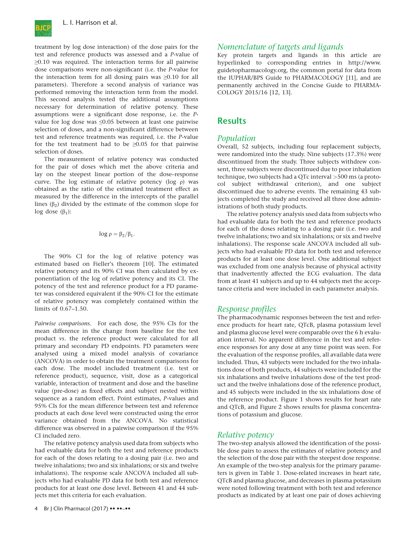

treatment by log dose interaction) of the dose pairs for the test and reference products was assessed and a P-value of ≥0.10 was required. The interaction terms for all pairwise dose comparisons were non-significant (i.e. the P-value for the interaction term for all dosing pairs was  $\geq 0.10$  for all parameters). Therefore a second analysis of variance was performed removing the interaction term from the model. This second analysis tested the additional assumptions necessary for determination of relative potency. These assumptions were a significant dose response, i.e. the Pvalue for log dose was ≤0.05 between at least one pairwise selection of doses, and a non-significant difference between test and reference treatments was required, i.e. the P-value for the test treatment had to be  $\geq 0.05$  for that pairwise selection of doses.

The measurement of relative potency was conducted for the pair of doses which met the above criteria and lay on the steepest linear portion of the dose–response curve. The log estimate of relative potency (log ρ) was obtained as the ratio of the estimated treatment effect as measured by the difference in the intercepts of the parallel lines ( $\beta$ <sub>2</sub>) divided by the estimate of the common slope for log dose  $(β<sub>1</sub>)$ :

$$
log\ \rho = \beta_2/\beta_1.
$$

The 90% CI for the log of relative potency was estimated based on Fieller's theorem [10]. The estimated relative potency and its 90% CI was then calculated by exponentiation of the log of relative potency and its CI. The potency of the test and reference product for a PD parameter was considered equivalent if the 90% CI for the estimate of relative potency was completely contained within the limits of 0.67–1.50.

Pairwise comparisons. For each dose, the 95% CIs for the mean difference in the change from baseline for the test product vs. the reference product were calculated for all primary and secondary PD endpoints. PD parameters were analysed using a mixed model analysis of covariance (ANCOVA) in order to obtain the treatment comparisons for each dose. The model included treatment (i.e. test or reference product), sequence, visit, dose as a categorical variable, interaction of treatment and dose and the baseline value (pre-dose) as fixed effects and subject nested within sequence as a random effect. Point estimates, P-values and 95% CIs for the mean difference between test and reference products at each dose level were constructed using the error variance obtained from the ANCOVA. No statistical difference was observed in a pairwise comparison if the 95% CI included zero.

The relative potency analysis used data from subjects who had evaluable data for both the test and reference products for each of the doses relating to a dosing pair (i.e. two and twelve inhalations; two and six inhalations; or six and twelve inhalations). The response scale ANCOVA included all subjects who had evaluable PD data for both test and reference products for at least one dose level. Between 41 and 44 subjects met this criteria for each evaluation.

## 4 Br J Clin Pharmacol (2017) •• ••–••

## Nomenclature of targets and ligands

Key protein targets and ligands in this article are hyperlinked to corresponding entries in http://www. guidetopharmacology.org, the common portal for data from the IUPHAR/BPS Guide to PHARMACOLOGY [11], and are permanently archived in the Concise Guide to PHARMA-COLOGY 2015/16 [12, 13].

## **Results**

## Population

Overall, 52 subjects, including four replacement subjects, were randomized into the study. Nine subjects (17.3%) were discontinued from the study. Three subjects withdrew consent, three subjects were discontinued due to poor inhalation technique, two subjects had a QTc interval >500 ms (a protocol subject withdrawal criterion), and one subject discontinued due to adverse events. The remaining 43 subjects completed the study and received all three dose administrations of both study products.

The relative potency analysis used data from subjects who had evaluable data for both the test and reference products for each of the doses relating to a dosing pair (i.e. two and twelve inhalations; two and six inhalations; or six and twelve inhalations). The response scale ANCOVA included all subjects who had evaluable PD data for both test and reference products for at least one dose level. One additional subject was excluded from one analysis because of physical activity that inadvertently affected the ECG evaluation. The data from at least 41 subjects and up to 44 subjects met the acceptance criteria and were included in each parameter analysis.

## Response profiles

The pharmacodynamic responses between the test and reference products for heart rate, QTcB, plasma potassium level and plasma glucose level were comparable over the 6 h evaluation interval. No apparent difference in the test and reference responses for any dose at any time point was seen. For the evaluation of the response profiles, all available data were included. Thus, 43 subjects were included for the two inhalations dose of both products, 44 subjects were included for the six inhalations and twelve inhalations dose of the test product and the twelve inhalations dose of the reference product, and 45 subjects were included in the six inhalations dose of the reference product. Figure 1 shows results for heart rate and QTcB, and Figure 2 shows results for plasma concentrations of potassium and glucose.

### Relative potency

The two-step analysis allowed the identification of the possible dose pairs to assess the estimates of relative potency and the selection of the dose pair with the steepest dose response. An example of the two-step analysis for the primary parameters is given in Table 1. Dose-related increases in heart rate, QTcB and plasma glucose, and decreases in plasma potassium were noted following treatment with both test and reference products as indicated by at least one pair of doses achieving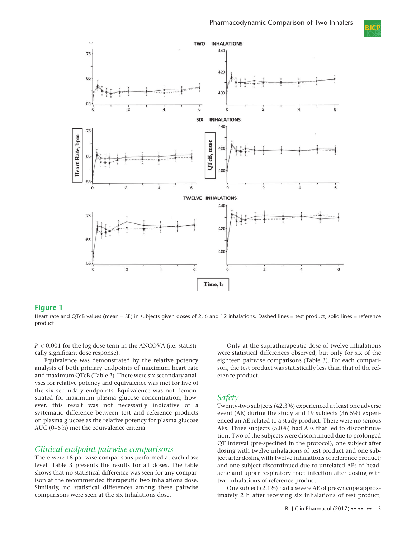



#### Figure 1

Heart rate and QTcB values (mean ± SE) in subjects given doses of 2, 6 and 12 inhalations. Dashed lines = test product; solid lines = reference product

 $P < 0.001$  for the log dose term in the ANCOVA (i.e. statistically significant dose response).

Equivalence was demonstrated by the relative potency analysis of both primary endpoints of maximum heart rate and maximum QTcB (Table 2). There were six secondary analyses for relative potency and equivalence was met for five of the six secondary endpoints. Equivalence was not demonstrated for maximum plasma glucose concentration; however, this result was not necessarily indicative of a systematic difference between test and reference products on plasma glucose as the relative potency for plasma glucose AUC (0–6 h) met the equivalence criteria.

#### Clinical endpoint pairwise comparisons

There were 18 pairwise comparisons performed at each dose level. Table 3 presents the results for all doses. The table shows that no statistical difference was seen for any comparison at the recommended therapeutic two inhalations dose. Similarly, no statistical differences among these pairwise comparisons were seen at the six inhalations dose.

Only at the supratherapeutic dose of twelve inhalations were statistical differences observed, but only for six of the eighteen pairwise comparisons (Table 3). For each comparison, the test product was statistically less than that of the reference product.

### Safety

Twenty-two subjects (42.3%) experienced at least one adverse event (AE) during the study and 19 subjects (36.5%) experienced an AE related to a study product. There were no serious AEs. Three subjects (5.8%) had AEs that led to discontinuation. Two of the subjects were discontinued due to prolonged QT interval (pre-specified in the protocol), one subject after dosing with twelve inhalations of test product and one subject after dosing with twelve inhalations of reference product; and one subject discontinued due to unrelated AEs of headache and upper respiratory tract infection after dosing with two inhalations of reference product.

One subject (2.1%) had a severe AE of presyncope approximately 2 h after receiving six inhalations of test product,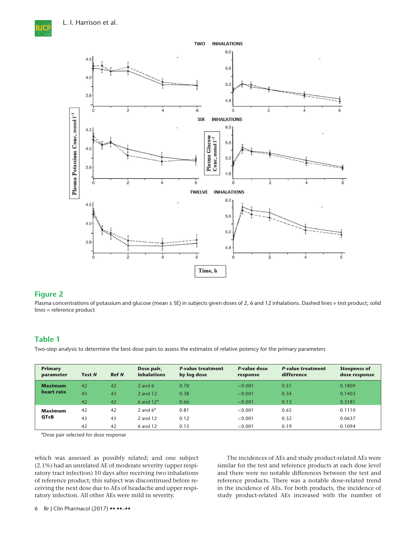**MGT** 



### Figure 2

Plasma concentrations of potassium and glucose (mean ± SE) in subjects given doses of 2, 6 and 12 inhalations. Dashed lines = test product; solid lines = reference product

### Table 1

Two-step analysis to determine the best dose pairs to assess the estimates of relative potency for the primary parameters

| <b>Primary</b><br>parameter | <b>Test N</b> | <b>Ref N</b> | Dose pair,<br><b>inhalations</b> | <b>P-value treatment</b><br>by log dose | P-value dose<br>response | <b>P-value treatment</b><br>difference | <b>Steepness of</b><br>dose response |
|-----------------------------|---------------|--------------|----------------------------------|-----------------------------------------|--------------------------|----------------------------------------|--------------------------------------|
| <b>Maximum</b>              | 42            | 42           | 2 and $6$                        | 0.70                                    | < 0.001                  | 0.51                                   | 0.1809                               |
| heart rate                  | 43            | 43           | 2 and 12                         | 0.38                                    | < 0.001                  | 0.34                                   | 0.1403                               |
|                             | 42            | 42           | 6 and $12^a$                     | 0.66                                    | < 0.001                  | 0.13                                   | 0.3181                               |
| <b>Maximum</b>              | 42            | 42           | 2 and $6^a$                      | 0.81                                    | < 0.001                  | 0.65                                   | 0.1110                               |
| QTcB                        | 43            | 43           | 2 and 12                         | 0.12                                    | < 0.001                  | 0.32                                   | 0.0637                               |
|                             | 42            | 42           | 6 and 12                         | 0.15                                    | < 0.001                  | 0.19                                   | 0.1094                               |

<sup>a</sup>Dose pair selected for dose response

which was assessed as possibly related; and one subject (2.1%) had an unrelated AE of moderate severity (upper respiratory tract infection) 10 days after receiving two inhalations of reference product; this subject was discontinued before receiving the next dose due to AEs of headache and upper respiratory infection. All other AEs were mild in severity.

The incidences of AEs and study product-related AEs were similar for the test and reference products at each dose level and there were no notable differences between the test and reference products. There was a notable dose-related trend in the incidence of AEs. For both products, the incidence of study product-related AEs increased with the number of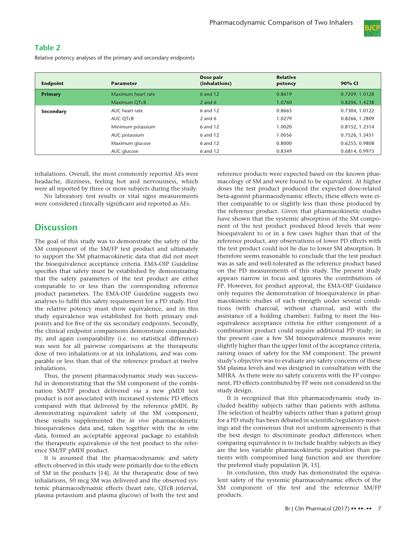

## Table 2

Relative potency analyses of the primary and secondary endpoints

| <b>Endpoint</b>  | <b>Parameter</b>   | Dose pair<br>(inhalations) | <b>Relative</b><br>potency | 90% CI         |
|------------------|--------------------|----------------------------|----------------------------|----------------|
| <b>Primary</b>   | Maximum heart rate | 6 and 12                   | 0.8619                     | 0.7209, 1.0128 |
|                  | Maximum QTcB       | 2 and $6$                  | 1.0760                     | 0.8206, 1.4238 |
| <b>Secondary</b> | AUC heart rate     | 6 and 12                   | 0.8665                     | 0.7304, 1.0122 |
|                  | AUC OTcB           | $2$ and 6                  | 1.0279                     | 0.8266, 1.2809 |
|                  | Minimum potassium  | 6 and 12                   | 1.0020                     | 0.8152, 1.2314 |
|                  | AUC potassium      | 6 and 12                   | 1.0056                     | 0.7526, 1.3451 |
|                  | Maximum glucose    | 6 and 12                   | 0.8000                     | 0.6255, 0.9808 |
|                  | AUC glucose        | 6 and 12                   | 0.8349                     | 0.6814, 0.9973 |

inhalations. Overall, the most commonly reported AEs were headache, dizziness, feeling hot and nervousness, which were all reported by three or more subjects during the study.

No laboratory test results or vital signs measurements were considered clinically significant and reported as AEs.

# **Discussion**

The goal of this study was to demonstrate the safety of the SM component of the SM/FP test product and ultimately to support the SM pharmacokinetic data that did not meet the bioequivalence acceptance criteria. EMA-OIP Guideline specifies that safety must be established by demonstrating that the safety parameters of the test product are either comparable to or less than the corresponding reference product parameters. The EMA-OIP Guideline suggests two analyses to fulfil this safety requirement for a PD study. First the relative potency must show equivalence, and in this study equivalence was established for both primary endpoints and for five of the six secondary endpoints. Secondly, the clinical endpoint comparisons demonstrate comparability, and again comparability (i.e. no statistical difference) was seen for all pairwise comparisons at the therapeutic dose of two inhalations or at six inhalations, and was comparable or less than that of the reference product at twelve inhalations.

Thus, the present pharmacodynamic study was successful in demonstrating that the SM component of the combination SM/FP product delivered via a new pMDI test product is not associated with increased systemic PD effects compared with that delivered by the reference pMDI. By demonstrating equivalent safety of the SM component, these results supplemented the in vivo pharmacokinetic bioequivalence data and, taken together with the in vitro data, formed an acceptable approval package to establish the therapeutic equivalence of the test product to the reference SM/FP pMDI product.

It is assumed that the pharmacodynamic and safety effects observed in this study were primarily due to the effects of SM in the products [14]. At the therapeutic dose of two inhalations, 50 mcg SM was delivered and the observed systemic pharmacodynamic effects (heart rate, QTcB interval, plasma potassium and plasma glucose) of both the test and

reference products were expected based on the known pharmacology of SM and were found to be equivalent. At higher doses the test product produced the expected dose-related beta-agonist pharmacodynamic effects; these effects were either comparable to or slightly less than those produced by the reference product. Given that pharmacokinetic studies have shown that the systemic absorption of the SM component of the test product produced blood levels that were bioequivalent to or in a few cases higher than that of the reference product, any observations of lower PD effects with the test product could not be due to lower SM absorption. It therefore seems reasonable to conclude that the test product was as safe and well-tolerated as the reference product based on the PD measurements of this study. The present study appears narrow in focus and ignores the contributions of FP. However, for product approval, the EMA-OIP Guidance only requires the demonstration of bioequivalence in pharmacokinetic studies of each strength under several conditions (with charcoal, without charcoal, and with the assistance of a holding chamber). Failing to meet the bioequivalence acceptance criteria for either component of a combination product could require additional PD study; in the present case a few SM bioequivalence measures were slightly higher than the upper limit of the acceptance criteria, raising issues of safety for the SM component. The present study's objective was to evaluate any safety concerns of these SM plasma levels and was designed in consultation with the MHRA. As there were no safety concerns with the FP component, PD effects contributed by FP were not considered in the study design.

It is recognized that this pharmacodynamic study included healthy subjects rather than patients with asthma. The selection of healthy subjects rather than a patient group for a PD study has been debated in scientific/regulatory meetings and the consensus (but not uniform agreement) is that the best design to discriminate product differences when comparing equivalence is to include healthy subjects as they are the less variable pharmacokinetic population than patients with compromised lung function and are therefore the preferred study population [8, 15].

In conclusion, this study has demonstrated the equivalent safety of the systemic pharmacodynamic effects of the SM component of the test and the reference SM/FP products.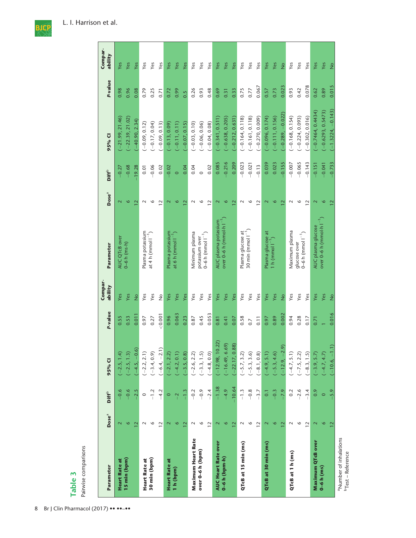

| Parameter                                                       | Dose <sup>a</sup> | Diff <sup>b</sup> | 95% CI            | P-value | Compar-<br>ability | Parameter                                    | Dose <sup>a</sup> | <b>Diff<sup>b</sup></b> | 95% CI              | P-value | Compar-<br>ability |
|-----------------------------------------------------------------|-------------------|-------------------|-------------------|---------|--------------------|----------------------------------------------|-------------------|-------------------------|---------------------|---------|--------------------|
| <b>Heart Rate at</b>                                            | $\mathbf{\Omega}$ | $-0.6$            | $-2.5, 1.4$       | 0.55    | Yes                | AUC QTcB over                                | $\mathbf{\Omega}$ | $-0.27$                 | $-21.99, 21.46$     | 0.98    | Yes                |
| 15 min (bpm)                                                    | 6                 | $-0.6$            | $(-2.5, 1.3)$     | 0.53    | Yes                | $0 - 6 h$ (ms $\cdot h$ )                    | P                 | $-0.68$                 | $-22.39, 21.02$     | 0.96    | Yes                |
|                                                                 | 12                | $-2.5$            | $-4.5, -0.6$      | 0.011   | $\frac{1}{2}$      |                                              | $\mathbf{\Omega}$ | 19.28                   | $-40.90, 2.34$      | 0.08    | Yes                |
| <b>Heart Rate at</b>                                            | $\sim$            | $\circ$           | $(-2.2, 2.1)$     | 0.97    | Yes                | Plasma potassium                             | $\sim$            | 0.01                    | $(-0.09, 0.12)$     | 0.79    | Yes                |
| 30 min (bpm)                                                    | o                 | $-1.2$            | $(-3.4, 0.9)$     | 0.27    | Yes                | at 4 h (mmol $I^{-1}$ )                      | $\circ$           | $-0.06$                 | $(-0.17, 0.04)$     | 0.25    | Yes                |
|                                                                 | $\overline{12}$   | $-4.2$            | $(-6.4, -2.1)$    | 0.001   | $\frac{1}{2}$      |                                              | $\overline{12}$   | 0.02                    | $(-0.09, 0.13)$     | 0.71    | Yes                |
| <b>Heart Rate at</b>                                            | $\mathbf 2$       | $\circ$           | $-2.1, 2.2$       | 0.96    | Yes                | Plasma potassium                             | $\mathbf{\Omega}$ | $-0.02$                 | $-0.13, 0.09$       | 0.72    | Yes                |
| 1 h (bpm)                                                       | $\circ$           | $\overline{a}$    | $(-4.2, 0.1)$     | 0.063   | Yes                | at 6 h (mmol l $^{-1}$ )                     | $\circ$           | $\circ$                 | $(-0.11, 0.11)$     | 0.99    | Yes                |
|                                                                 | $\overline{12}$   | $-1.3$            | $-3.5, 0.8$       | 0.23    | Yes                |                                              | $\mathbf{\Omega}$ | 0.04                    | $-0.07, 0.15$       | 0.5     | Yes                |
| Maximum Heart Rate                                              | $\sim$            | $-0.2$            | $(-2.6, 2.2)$     | 0.87    | Yes                | Minimum plasma                               | $\sim$            | 0.04                    | $(-0.03, 0.10)$     | 0.26    | Yes                |
| over 0-6 h (bpm)                                                | $\circ$           | $-0.9$            | $(-3.3, 1.5)$     | 0.45    | Yes                | $0 - 6$ h (mmol $1^{-1}$ )<br>potassium over | $\circ$           | $\circ$                 | $(-0.06, 0.06)$     | 0.93    | Yes                |
|                                                                 | $\overline{12}$   | $-2.4$            | $(-4.8, 0.0)$     | 0.053   | Yes                |                                              | $\overline{12}$   | 0.02                    | $(-0.04, 0.08)$     | 0.48    | Yes                |
| <b>AUC Heart Rate over</b>                                      | 2                 | $-1.38$           | $(-12.98, 10.22)$ | 0.81    | Yes                | AUC plasma potassium                         | $\mathbf{\Omega}$ | 0.085                   | $(-0.341, 0.511)$   | 0.69    | Yes                |
| 0–6 h (bpm-h)                                                   | $\circ$           | $-4.9$            | $-16.49, 6.69$    | 0.41    | Yes                | over $0$ –6 h (mmol $\cdot$ h $1^{-1}$       | $\circ$           | $-0.216$                | $-0.638, 0.205$     | 0.31    | Yes                |
|                                                                 | 12                | $-10.64$          | $-22.17, 0.88$    | 0.07    | Yes                |                                              | $\overline{12}$   | 0.209                   | $-0.212, 0.631$     | 0.33    | Yes                |
| QTcB at 15 min (ms)                                             | $\sim$            | $-1.3$            | $(-5.7, 3.2)$     | 0.58    | Yes                | Plasma glucose at                            | $\sim$            | $-0.023$                | $(-0.164, 0.118)$   | 0.75    | Yes                |
|                                                                 | $\circ$           | $-0.8$            | $(-5.3, 3.6)$     | 0.7     | Yes                | 30 min (mmol $1^{-1}$ )                      | $\circ$           | $-0.021$                | $(-0.161, 0.118)$   | 0.77    | Yes                |
|                                                                 | $\overline{1}$    | $-3.7$            | $(-8.1, 0.8)$     | 0.11    | Yes                |                                              | $\overline{12}$   | $-0.13$                 | $(-0.270, 0.009)$   | 0.067   | Yes                |
| QTcB at 30 min (ms)                                             | $\mathbf{\Omega}$ | $\overline{0}$    | $(-4.9, 5.1)$     | 0.97    | Yes                | Plasma glucose at                            | 2                 | 0.039                   | $(-0.096, 0.174)$   | 0.57    | Yes                |
|                                                                 | ७                 | $-0.3$            | $-5.3, 4.6$       | 0.89    | Yes                | $1 h$ (mmol $1-1$                            | P                 | 0.023                   | $-0.111, 0.156$     | 0.73    | Yes                |
|                                                                 | 12                | $-7.9$            | $-12.9, -2.9$     | 0.002   | $\frac{1}{2}$      |                                              | $\mathbf{z}$      | $-0.155$                | $-0.289, -0.022$    | 0.023   | $\frac{1}{2}$      |
| QTcB at 1 h (ms)                                                | $\sim$            | 0.2               | $(-4.7, 5.1)$     | 0.94    | Yes                | Vlaximum plasma                              | $\sim$            | $-0.007$                | $(-0.168, 0.154)$   | 0.93    | Yes                |
|                                                                 | $\circ$           | $-2.6$            | $(-7.5, 2.2)$     | 0.28    | Yes                | glucose over                                 | $\circ$           | $-0.065$                | $(-0.224, 0.093)$   | 0.42    | Yes                |
|                                                                 | $\overline{12}$   | $-3.4$            | $(-8.3, 1.5)$     | 0.17    | Yes                | $0 - 6$ h (mmol $1^{-1}$ )                   | $\overline{12}$   | $-0.143$                | $(-0.302, 0.016)$   | 0.078   | Yes                |
| Maximum QTcB over                                               | $\mathbf{\Omega}$ | 0.9               | $-3.9, 5.7$       | 0.71    | Yes                | AUC plasma glucose                           | $\mathbf{\Omega}$ | $-0.151$                | $-0.7464, 0.4434)$  | 0.62    | Yes                |
| $0 - 6$ h $(ms)$                                                | $\circ$           | $\circ$           | $-4.7, 4.7$       |         | Yes                | over 0–6 h (mmol $\cdot$ h $\mid$ $^{-1}$    | $\circ$           | $-0.041$                | $-0.6293, 0.5473$   | 0.89    | Yes                |
|                                                                 | 12                | $-5.9$            | $(-10.6, -1.1)$   | 0.016   | $\frac{1}{2}$      |                                              | 12                | $-0.733$                | $(-1.3224, -0.143)$ | 0.015   | $\frac{1}{2}$      |
| <sup>a</sup> Number of inhalations<br><b>b</b> Test – Reference |                   |                   |                   |         |                    |                                              |                   |                         |                     |         |                    |

8 Br J Clin Pharmacol (2017) •• ••-••

Table 3<br>Pairwise comparisons Pairwise comparisons